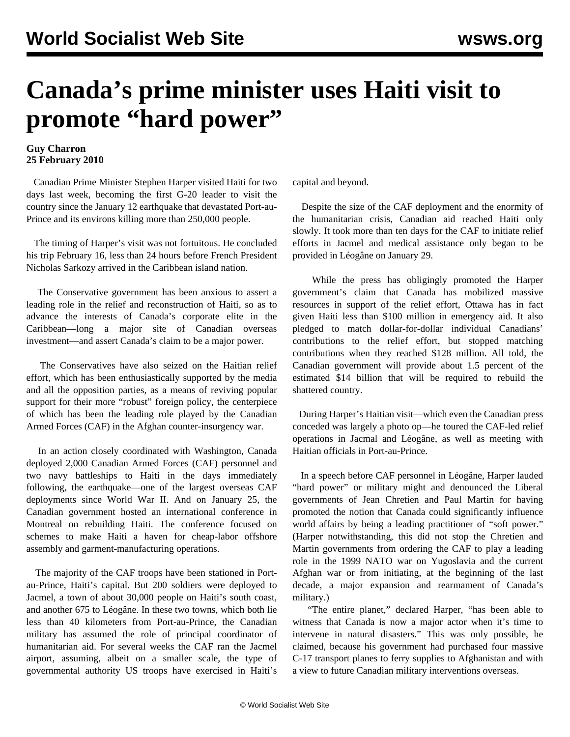## **Canada's prime minister uses Haiti visit to promote "hard power"**

## **Guy Charron 25 February 2010**

 Canadian Prime Minister Stephen Harper visited Haiti for two days last week, becoming the first G-20 leader to visit the country since the January 12 earthquake that devastated Port-au-Prince and its environs killing more than 250,000 people.

 The timing of Harper's visit was not fortuitous. He concluded his trip February 16, less than 24 hours before French President Nicholas Sarkozy arrived in the Caribbean island nation.

 The Conservative government has been anxious to assert a leading role in the relief and reconstruction of Haiti, so as to advance the interests of Canada's corporate elite in the Caribbean—long a major site of Canadian overseas investment—and assert Canada's claim to be a major power.

 The Conservatives have also seized on the Haitian relief effort, which has been enthusiastically supported by the media and all the opposition parties, as a means of reviving popular support for their more "robust" foreign policy, the centerpiece of which has been the leading role played by the Canadian Armed Forces (CAF) in the Afghan counter-insurgency war.

 In an action closely coordinated with Washington, Canada deployed 2,000 Canadian Armed Forces (CAF) personnel and two navy battleships to Haiti in the days immediately following, the earthquake—one of the largest overseas CAF deployments since World War II. And on January 25, the Canadian government hosted an international conference in Montreal on rebuilding Haiti. The conference focused on schemes to make Haiti a haven for cheap-labor offshore assembly and garment-manufacturing operations.

 The majority of the CAF troops have been stationed in Portau-Prince, Haiti's capital. But 200 soldiers were deployed to Jacmel, a town of about 30,000 people on Haiti's south coast, and another 675 to Léogâne. In these two towns, which both lie less than 40 kilometers from Port-au-Prince, the Canadian military has assumed the role of principal coordinator of humanitarian aid. For several weeks the CAF ran the Jacmel airport, assuming, albeit on a smaller scale, the type of governmental authority US troops have exercised in Haiti's

capital and beyond.

 Despite the size of the CAF deployment and the enormity of the humanitarian crisis, Canadian aid reached Haiti only slowly. It took more than ten days for the CAF to initiate relief efforts in Jacmel and medical assistance only began to be provided in Léogâne on January 29.

 While the press has obligingly promoted the Harper government's claim that Canada has mobilized massive resources in support of the relief effort, Ottawa has in fact given Haiti less than \$100 million in emergency aid. It also pledged to match dollar-for-dollar individual Canadians' contributions to the relief effort, but stopped matching contributions when they reached \$128 million. All told, the Canadian government will provide about 1.5 percent of the estimated \$14 billion that will be required to rebuild the shattered country.

 During Harper's Haitian visit—which even the Canadian press conceded was largely a photo op—he toured the CAF-led relief operations in Jacmal and Léogâne, as well as meeting with Haitian officials in Port-au-Prince.

 In a speech before CAF personnel in Léogâne, Harper lauded "hard power" or military might and denounced the Liberal governments of Jean Chretien and Paul Martin for having promoted the notion that Canada could significantly influence world affairs by being a leading practitioner of "soft power." (Harper notwithstanding, this did not stop the Chretien and Martin governments from ordering the CAF to play a leading role in the 1999 NATO war on Yugoslavia and the current Afghan war or from initiating, at the beginning of the last decade, a major expansion and rearmament of Canada's military.)

 "The entire planet," declared Harper, "has been able to witness that Canada is now a major actor when it's time to intervene in natural disasters." This was only possible, he claimed, because his government had purchased four massive C-17 transport planes to ferry supplies to Afghanistan and with a view to future Canadian military interventions overseas.